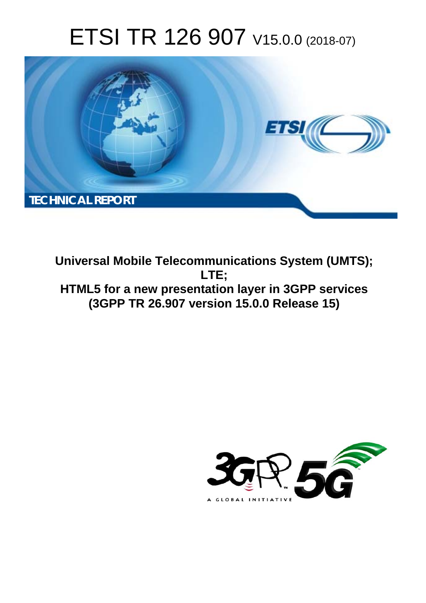# ETSI TR 126 907 V15.0.0 (2018-07)



**Universal Mobile Telecommunications System (UMTS); LTE; HTML5 for a new presentation layer in 3GPP services (3GPP TR 26.907 version 15.0.0 Release 15)** 

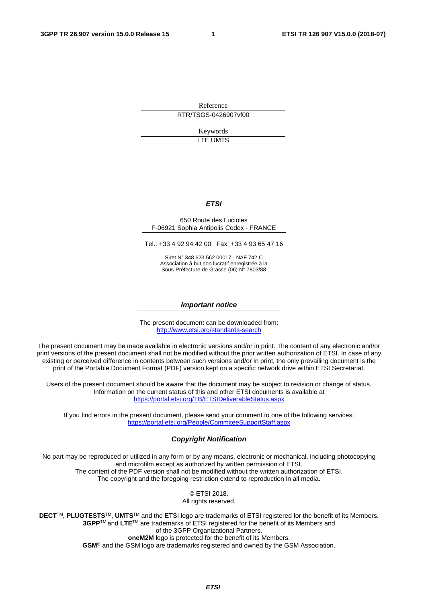Reference RTR/TSGS-0426907vf00

> Keywords LTE,UMTS

#### *ETSI*

#### 650 Route des Lucioles F-06921 Sophia Antipolis Cedex - FRANCE

Tel.: +33 4 92 94 42 00 Fax: +33 4 93 65 47 16

Siret N° 348 623 562 00017 - NAF 742 C Association à but non lucratif enregistrée à la Sous-Préfecture de Grasse (06) N° 7803/88

#### *Important notice*

The present document can be downloaded from: <http://www.etsi.org/standards-search>

The present document may be made available in electronic versions and/or in print. The content of any electronic and/or print versions of the present document shall not be modified without the prior written authorization of ETSI. In case of any existing or perceived difference in contents between such versions and/or in print, the only prevailing document is the print of the Portable Document Format (PDF) version kept on a specific network drive within ETSI Secretariat.

Users of the present document should be aware that the document may be subject to revision or change of status. Information on the current status of this and other ETSI documents is available at <https://portal.etsi.org/TB/ETSIDeliverableStatus.aspx>

If you find errors in the present document, please send your comment to one of the following services: <https://portal.etsi.org/People/CommiteeSupportStaff.aspx>

#### *Copyright Notification*

No part may be reproduced or utilized in any form or by any means, electronic or mechanical, including photocopying and microfilm except as authorized by written permission of ETSI. The content of the PDF version shall not be modified without the written authorization of ETSI. The copyright and the foregoing restriction extend to reproduction in all media.

> © ETSI 2018. All rights reserved.

**DECT**TM, **PLUGTESTS**TM, **UMTS**TM and the ETSI logo are trademarks of ETSI registered for the benefit of its Members. **3GPP**TM and **LTE**TM are trademarks of ETSI registered for the benefit of its Members and of the 3GPP Organizational Partners. **oneM2M** logo is protected for the benefit of its Members.

**GSM**® and the GSM logo are trademarks registered and owned by the GSM Association.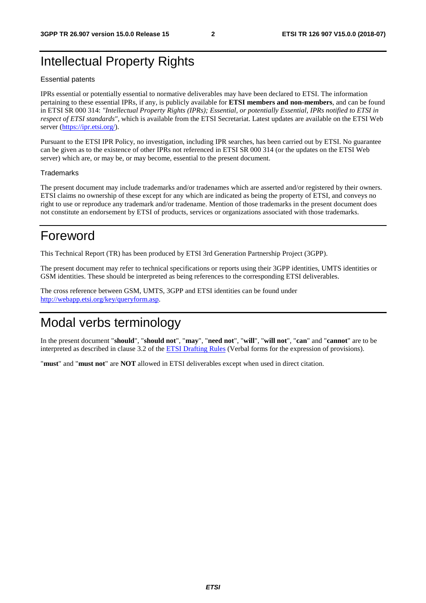# Intellectual Property Rights

#### Essential patents

IPRs essential or potentially essential to normative deliverables may have been declared to ETSI. The information pertaining to these essential IPRs, if any, is publicly available for **ETSI members and non-members**, and can be found in ETSI SR 000 314: *"Intellectual Property Rights (IPRs); Essential, or potentially Essential, IPRs notified to ETSI in respect of ETSI standards"*, which is available from the ETSI Secretariat. Latest updates are available on the ETSI Web server ([https://ipr.etsi.org/\)](https://ipr.etsi.org/).

Pursuant to the ETSI IPR Policy, no investigation, including IPR searches, has been carried out by ETSI. No guarantee can be given as to the existence of other IPRs not referenced in ETSI SR 000 314 (or the updates on the ETSI Web server) which are, or may be, or may become, essential to the present document.

#### **Trademarks**

The present document may include trademarks and/or tradenames which are asserted and/or registered by their owners. ETSI claims no ownership of these except for any which are indicated as being the property of ETSI, and conveys no right to use or reproduce any trademark and/or tradename. Mention of those trademarks in the present document does not constitute an endorsement by ETSI of products, services or organizations associated with those trademarks.

# Foreword

This Technical Report (TR) has been produced by ETSI 3rd Generation Partnership Project (3GPP).

The present document may refer to technical specifications or reports using their 3GPP identities, UMTS identities or GSM identities. These should be interpreted as being references to the corresponding ETSI deliverables.

The cross reference between GSM, UMTS, 3GPP and ETSI identities can be found under [http://webapp.etsi.org/key/queryform.asp.](http://webapp.etsi.org/key/queryform.asp)

# Modal verbs terminology

In the present document "**should**", "**should not**", "**may**", "**need not**", "**will**", "**will not**", "**can**" and "**cannot**" are to be interpreted as described in clause 3.2 of the [ETSI Drafting Rules](https://portal.etsi.org/Services/editHelp!/Howtostart/ETSIDraftingRules.aspx) (Verbal forms for the expression of provisions).

"**must**" and "**must not**" are **NOT** allowed in ETSI deliverables except when used in direct citation.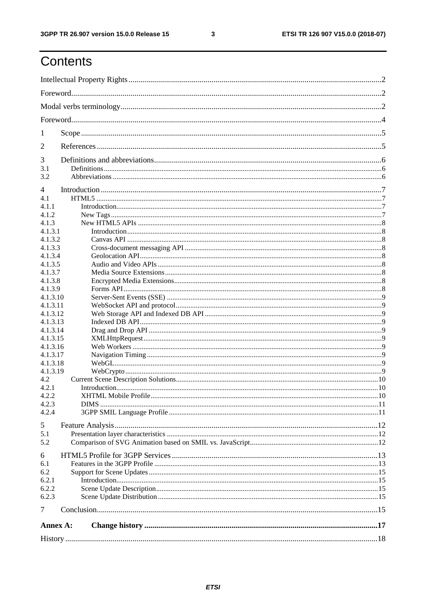$\mathbf{3}$ 

# Contents

| 1              |  |  |  |  |  |  |
|----------------|--|--|--|--|--|--|
| $\overline{2}$ |  |  |  |  |  |  |
| 3              |  |  |  |  |  |  |
| 3.1<br>3.2     |  |  |  |  |  |  |
| 4              |  |  |  |  |  |  |
| 4.1            |  |  |  |  |  |  |
| 4.1.1          |  |  |  |  |  |  |
| 4.1.2          |  |  |  |  |  |  |
| 4.1.3          |  |  |  |  |  |  |
| 4.1.3.1        |  |  |  |  |  |  |
| 4.1.3.2        |  |  |  |  |  |  |
| 4.1.3.3        |  |  |  |  |  |  |
| 4.1.3.4        |  |  |  |  |  |  |
| 4.1.3.5        |  |  |  |  |  |  |
| 4.1.3.7        |  |  |  |  |  |  |
| 4.1.3.8        |  |  |  |  |  |  |
| 4.1.3.9        |  |  |  |  |  |  |
| 4.1.3.10       |  |  |  |  |  |  |
| 4.1.3.11       |  |  |  |  |  |  |
| 4.1.3.12       |  |  |  |  |  |  |
| 4.1.3.13       |  |  |  |  |  |  |
| 4.1.3.14       |  |  |  |  |  |  |
| 4.1.3.15       |  |  |  |  |  |  |
| 4.1.3.16       |  |  |  |  |  |  |
| 4.1.3.17       |  |  |  |  |  |  |
| 4.1.3.18       |  |  |  |  |  |  |
| 4.1.3.19       |  |  |  |  |  |  |
| 4.2            |  |  |  |  |  |  |
| 4.2.1          |  |  |  |  |  |  |
| 4.2.2          |  |  |  |  |  |  |
| 4.2.3          |  |  |  |  |  |  |
| 4.2.4          |  |  |  |  |  |  |
| 5              |  |  |  |  |  |  |
|                |  |  |  |  |  |  |
| 5.1            |  |  |  |  |  |  |
| 5.2            |  |  |  |  |  |  |
| 6              |  |  |  |  |  |  |
| 6.1            |  |  |  |  |  |  |
| 6.2            |  |  |  |  |  |  |
| 6.2.1          |  |  |  |  |  |  |
| 6.2.2          |  |  |  |  |  |  |
| 6.2.3          |  |  |  |  |  |  |
|                |  |  |  |  |  |  |
| 7              |  |  |  |  |  |  |
| Annex A:       |  |  |  |  |  |  |
|                |  |  |  |  |  |  |
|                |  |  |  |  |  |  |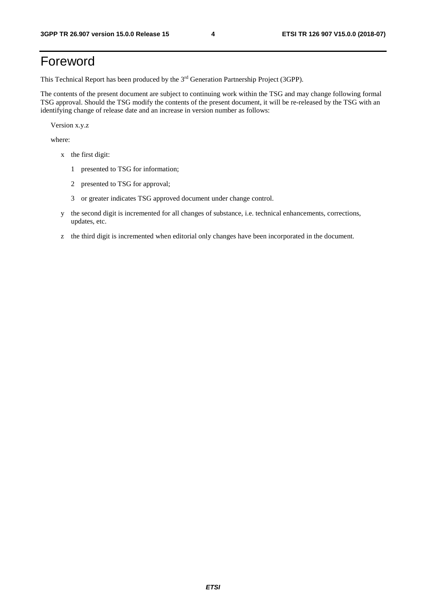# Foreword

This Technical Report has been produced by the 3rd Generation Partnership Project (3GPP).

The contents of the present document are subject to continuing work within the TSG and may change following formal TSG approval. Should the TSG modify the contents of the present document, it will be re-released by the TSG with an identifying change of release date and an increase in version number as follows:

Version x.y.z

where:

- x the first digit:
	- 1 presented to TSG for information;
	- 2 presented to TSG for approval;
	- 3 or greater indicates TSG approved document under change control.
- y the second digit is incremented for all changes of substance, i.e. technical enhancements, corrections, updates, etc.
- z the third digit is incremented when editorial only changes have been incorporated in the document.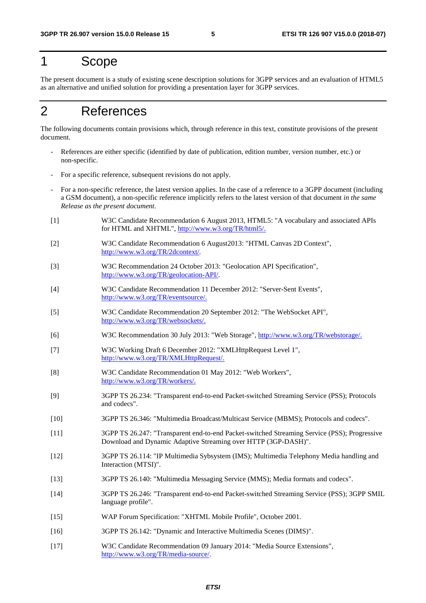# 1 Scope

The present document is a study of existing scene description solutions for 3GPP services and an evaluation of HTML5 as an alternative and unified solution for providing a presentation layer for 3GPP services.

# 2 References

The following documents contain provisions which, through reference in this text, constitute provisions of the present document.

- References are either specific (identified by date of publication, edition number, version number, etc.) or non-specific.
- For a specific reference, subsequent revisions do not apply.
- For a non-specific reference, the latest version applies. In the case of a reference to a 3GPP document (including a GSM document), a non-specific reference implicitly refers to the latest version of that document *in the same Release as the present document*.
- [1] W3C Candidate Recommendation 6 August 2013, HTML5: "A vocabulary and associated APIs for HTML and XHTML", [http://www.w3.org/TR/html5/.](http://www.w3.org/TR/html5/)
- [2] W3C Candidate Recommendation 6 August2013: "HTML Canvas 2D Context", [http://www.w3.org/TR/2dcontext/.](http://www.w3.org/TR/2dcontext/)
- [3] W3C Recommendation 24 October 2013: "Geolocation API Specification", [http://www.w3.org/TR/geolocation-API/.](http://www.w3.org/TR/geolocation-API/)
- [4] W3C Candidate Recommendation 11 December 2012: "Server-Sent Events", [http://www.w3.org/TR/eventsource/.](http://www.w3.org/TR/eventsource/)
- [5] W3C Candidate Recommendation 20 September 2012: "The WebSocket API", [http://www.w3.org/TR/websockets/.](http://www.w3.org/TR/websockets/)
- [6] W3C Recommendation 30 July 2013: "Web Storage",<http://www.w3.org/TR/webstorage/>.
- [7] W3C Working Draft 6 December 2012: "XMLHttpRequest Level 1", [http://www.w3.org/TR/XMLHttpRequest/.](http://www.w3.org/TR/XMLHttpRequest/)
- [8] W3C Candidate Recommendation 01 May 2012: "Web Workers", <http://www.w3.org/TR/workers/>.
- [9] 3GPP TS 26.234: "Transparent end-to-end Packet-switched Streaming Service (PSS); Protocols and codecs".
- [10] 3GPP TS 26.346: "Multimedia Broadcast/Multicast Service (MBMS); Protocols and codecs".
- [11] 3GPP TS 26.247: "Transparent end-to-end Packet-switched Streaming Service (PSS); Progressive Download and Dynamic Adaptive Streaming over HTTP (3GP-DASH)".
- [12] 3GPP TS 26.114: "IP Multimedia Sybsystem (IMS); Multimedia Telephony Media handling and Interaction (MTSI)".
- [13] 3GPP TS 26.140: "Multimedia Messaging Service (MMS); Media formats and codecs".
- [14] 3GPP TS 26.246: "Transparent end-to-end Packet-switched Streaming Service (PSS); 3GPP SMIL language profile".
- [15] WAP Forum Specification: "XHTML Mobile Profile", October 2001.
- [16] 3GPP TS 26.142: "Dynamic and Interactive Multimedia Scenes (DIMS)".
- [17] W3C Candidate Recommendation 09 January 2014: "Media Source Extensions", [http://www.w3.org/TR/media-source/.](http://www.w3.org/TR/media-source/)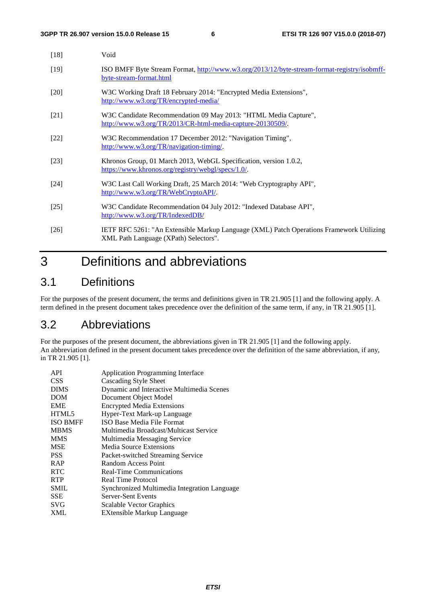| $[18]$ | Void                                                                                                                              |
|--------|-----------------------------------------------------------------------------------------------------------------------------------|
| $[19]$ | ISO BMFF Byte Stream Format, http://www.w3.org/2013/12/byte-stream-format-registry/isobmff-<br>byte-stream-format.html            |
| [20]   | W3C Working Draft 18 February 2014: "Encrypted Media Extensions",<br>http://www.w3.org/TR/encrypted-media/                        |
| [21]   | W3C Candidate Recommendation 09 May 2013: "HTML Media Capture",<br>http://www.w3.org/TR/2013/CR-html-media-capture-20130509/.     |
| $[22]$ | W3C Recommendation 17 December 2012: "Navigation Timing",<br>http://www.w3.org/TR/navigation-timing/.                             |
| $[23]$ | Khronos Group, 01 March 2013, WebGL Specification, version 1.0.2,<br>https://www.khronos.org/registry/webgl/specs/1.0/.           |
| $[24]$ | W3C Last Call Working Draft, 25 March 2014: "Web Cryptography API",<br>http://www.w3.org/TR/WebCryptoAPI/.                        |
| $[25]$ | W3C Candidate Recommendation 04 July 2012: "Indexed Database API",<br>http://www.w3.org/TR/IndexedDB/                             |
| [26]   | IETF RFC 5261: "An Extensible Markup Language (XML) Patch Operations Framework Utilizing<br>XML Path Language (XPath) Selectors". |

# 3 Definitions and abbreviations

### 3.1 Definitions

For the purposes of the present document, the terms and definitions given in TR 21.905 [1] and the following apply. A term defined in the present document takes precedence over the definition of the same term, if any, in TR 21.905 [1].

### 3.2 Abbreviations

For the purposes of the present document, the abbreviations given in TR 21.905 [1] and the following apply. An abbreviation defined in the present document takes precedence over the definition of the same abbreviation, if any, in TR 21.905 [1].

| <b>API</b>      | <b>Application Programming Interface</b>     |
|-----------------|----------------------------------------------|
| <b>CSS</b>      | Cascading Style Sheet                        |
| <b>DIMS</b>     | Dynamic and Interactive Multimedia Scenes    |
| <b>DOM</b>      | Document Object Model                        |
| <b>EME</b>      | <b>Encrypted Media Extensions</b>            |
| HTML5           | Hyper-Text Mark-up Language                  |
| <b>ISO BMFF</b> | ISO Base Media File Format                   |
| <b>MBMS</b>     | Multimedia Broadcast/Multicast Service       |
| <b>MMS</b>      | Multimedia Messaging Service                 |
| <b>MSE</b>      | Media Source Extensions                      |
| <b>PSS</b>      | Packet-switched Streaming Service            |
| <b>RAP</b>      | Random Access Point                          |
| <b>RTC</b>      | <b>Real-Time Communications</b>              |
| <b>RTP</b>      | Real Time Protocol                           |
| <b>SMIL</b>     | Synchronized Multimedia Integration Language |
| <b>SSE</b>      | <b>Server-Sent Events</b>                    |
| <b>SVG</b>      | <b>Scalable Vector Graphics</b>              |
| <b>XML</b>      | EXtensible Markup Language                   |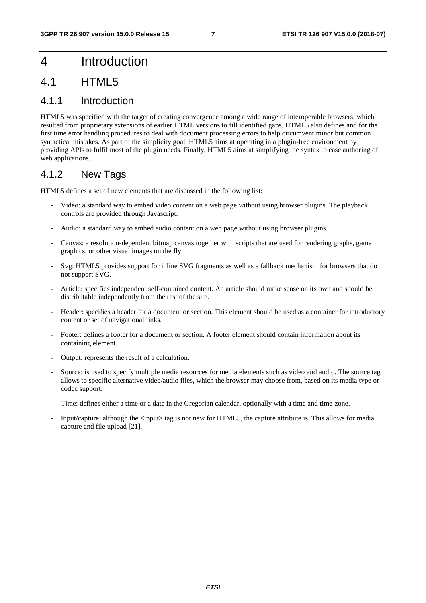# 4 Introduction

### 4.1 HTML5

#### 4.1.1 Introduction

HTML5 was specified with the target of creating convergence among a wide range of interoperable browsers, which resulted from proprietary extensions of earlier HTML versions to fill identified gaps. HTML5 also defines and for the first time error handling procedures to deal with document processing errors to help circumvent minor but common syntactical mistakes. As part of the simplicity goal, HTML5 aims at operating in a plugin-free environment by providing APIs to fulfil most of the plugin needs. Finally, HTML5 aims at simplifying the syntax to ease authoring of web applications.

### 4.1.2 New Tags

HTML5 defines a set of new elements that are discussed in the following list:

- Video: a standard way to embed video content on a web page without using browser plugins. The playback controls are provided through Javascript.
- Audio: a standard way to embed audio content on a web page without using browser plugins.
- Canvas: a resolution-dependent bitmap canvas together with scripts that are used for rendering graphs, game graphics, or other visual images on the fly.
- Svg: HTML5 provides support for inline SVG fragments as well as a fallback mechanism for browsers that do not support SVG.
- Article: specifies independent self-contained content. An article should make sense on its own and should be distributable independently from the rest of the site.
- Header: specifies a header for a document or section. This element should be used as a container for introductory content or set of navigational links.
- Footer: defines a footer for a document or section. A footer element should contain information about its containing element.
- Output: represents the result of a calculation.
- Source: is used to specify multiple media resources for media elements such as video and audio. The source tag allows to specific alternative video/audio files, which the browser may choose from, based on its media type or codec support.
- Time: defines either a time or a date in the Gregorian calendar, optionally with a time and time-zone.
- Input/capture: although the  $\langle$ input $\rangle$  tag is not new for HTML5, the capture attribute is. This allows for media capture and file upload [21].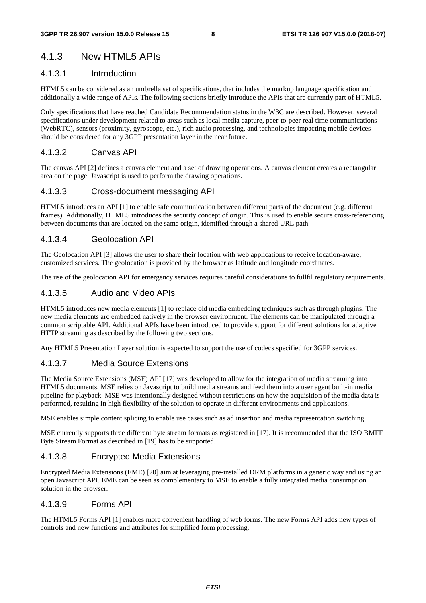### 4.1.3 New HTML5 APIs

#### 4.1.3.1 Introduction

HTML5 can be considered as an umbrella set of specifications, that includes the markup language specification and additionally a wide range of APIs. The following sections briefly introduce the APIs that are currently part of HTML5.

Only specifications that have reached Candidate Recommendation status in the W3C are described. However, several specifications under development related to areas such as local media capture, peer-to-peer real time communications (WebRTC), sensors (proximity, gyroscope, etc.), rich audio processing, and technologies impacting mobile devices should be considered for any 3GPP presentation layer in the near future.

#### 4.1.3.2 Canvas API

The canvas API [2] defines a canvas element and a set of drawing operations. A canvas element creates a rectangular area on the page. Javascript is used to perform the drawing operations.

#### 4.1.3.3 Cross-document messaging API

HTML5 introduces an API [1] to enable safe communication between different parts of the document (e.g. different frames). Additionally, HTML5 introduces the security concept of origin. This is used to enable secure cross-referencing between documents that are located on the same origin, identified through a shared URL path.

#### 4.1.3.4 Geolocation API

The Geolocation API [3] allows the user to share their location with web applications to receive location-aware, customized services. The geolocation is provided by the browser as latitude and longitude coordinates.

The use of the geolocation API for emergency services requires careful considerations to fullfil regulatory requirements.

#### 4.1.3.5 Audio and Video APIs

HTML5 introduces new media elements [1] to replace old media embedding techniques such as through plugins. The new media elements are embedded natively in the browser environment. The elements can be manipulated through a common scriptable API. Additional APIs have been introduced to provide support for different solutions for adaptive HTTP streaming as described by the following two sections.

Any HTML5 Presentation Layer solution is expected to support the use of codecs specified for 3GPP services.

#### 4.1.3.7 Media Source Extensions

The Media Source Extensions (MSE) API [17] was developed to allow for the integration of media streaming into HTML5 documents. MSE relies on Javascript to build media streams and feed them into a user agent built-in media pipeline for playback. MSE was intentionally designed without restrictions on how the acquisition of the media data is performed, resulting in high flexibility of the solution to operate in different environments and applications.

MSE enables simple content splicing to enable use cases such as ad insertion and media representation switching.

MSE currently supports three different byte stream formats as registered in [17]. It is recommended that the ISO BMFF Byte Stream Format as described in [19] has to be supported.

#### 4.1.3.8 Encrypted Media Extensions

Encrypted Media Extensions (EME) [20] aim at leveraging pre-installed DRM platforms in a generic way and using an open Javascript API. EME can be seen as complementary to MSE to enable a fully integrated media consumption solution in the browser.

#### 4.1.3.9 Forms API

The HTML5 Forms API [1] enables more convenient handling of web forms. The new Forms API adds new types of controls and new functions and attributes for simplified form processing.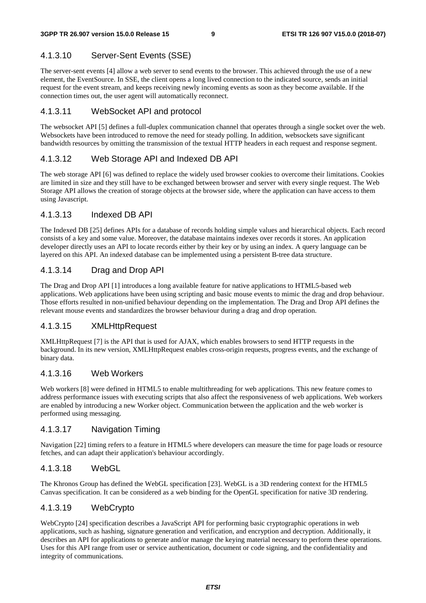#### 4.1.3.10 Server-Sent Events (SSE)

The server-sent events [4] allow a web server to send events to the browser. This achieved through the use of a new element, the EventSource. In SSE, the client opens a long lived connection to the indicated source, sends an initial request for the event stream, and keeps receiving newly incoming events as soon as they become available. If the connection times out, the user agent will automatically reconnect.

#### 4.1.3.11 WebSocket API and protocol

The websocket API [5] defines a full-duplex communication channel that operates through a single socket over the web. Websockets have been introduced to remove the need for steady polling. In addition, websockets save significant bandwidth resources by omitting the transmission of the textual HTTP headers in each request and response segment.

#### 4.1.3.12 Web Storage API and Indexed DB API

The web storage API [6] was defined to replace the widely used browser cookies to overcome their limitations. Cookies are limited in size and they still have to be exchanged between browser and server with every single request. The Web Storage API allows the creation of storage objects at the browser side, where the application can have access to them using Javascript.

#### 4.1.3.13 Indexed DB API

The Indexed DB [25] defines APIs for a database of records holding simple values and hierarchical objects. Each record consists of a key and some value. Moreover, the database maintains indexes over records it stores. An application developer directly uses an API to locate records either by their key or by using an index. A query language can be layered on this API. An indexed database can be implemented using a persistent B-tree data structure.

#### 4.1.3.14 Drag and Drop API

The Drag and Drop API [1] introduces a long available feature for native applications to HTML5-based web applications. Web applications have been using scripting and basic mouse events to mimic the drag and drop behaviour. Those efforts resulted in non-unified behaviour depending on the implementation. The Drag and Drop API defines the relevant mouse events and standardizes the browser behaviour during a drag and drop operation.

#### 4.1.3.15 XMLHttpRequest

XMLHttpRequest [7] is the API that is used for AJAX, which enables browsers to send HTTP requests in the background. In its new version, XMLHttpRequest enables cross-origin requests, progress events, and the exchange of binary data.

#### 4.1.3.16 Web Workers

Web workers [8] were defined in HTML5 to enable multithreading for web applications. This new feature comes to address performance issues with executing scripts that also affect the responsiveness of web applications. Web workers are enabled by introducing a new Worker object. Communication between the application and the web worker is performed using messaging.

#### 4.1.3.17 Navigation Timing

Navigation [22] timing refers to a feature in HTML5 where developers can measure the time for page loads or resource fetches, and can adapt their application's behaviour accordingly.

#### 4.1.3.18 WebGL

The Khronos Group has defined the WebGL specification [23]. WebGL is a 3D rendering context for the HTML5 Canvas specification. It can be considered as a web binding for the OpenGL specification for native 3D rendering.

#### 4.1.3.19 WebCrypto

WebCrypto [24] specification describes a JavaScript API for performing basic cryptographic operations in web applications, such as hashing, signature generation and verification, and encryption and decryption. Additionally, it describes an API for applications to generate and/or manage the keying material necessary to perform these operations. Uses for this API range from user or service authentication, document or code signing, and the confidentiality and integrity of communications.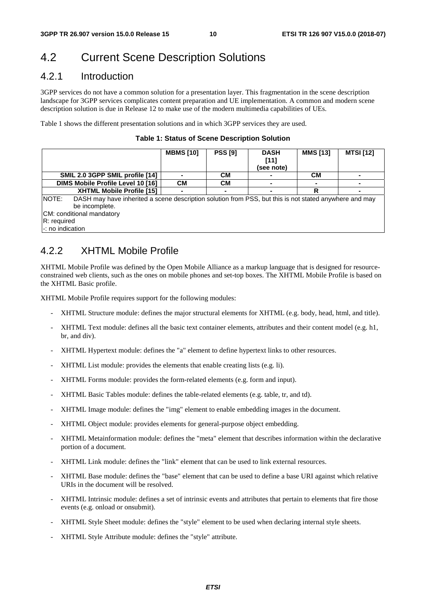# 4.2 Current Scene Description Solutions

### 4.2.1 Introduction

3GPP services do not have a common solution for a presentation layer. This fragmentation in the scene description landscape for 3GPP services complicates content preparation and UE implementation. A common and modern scene description solution is due in Release 12 to make use of the modern multimedia capabilities of UEs.

Table 1 shows the different presentation solutions and in which 3GPP services they are used.

|  |  |  | Table 1: Status of Scene Description Solution |  |
|--|--|--|-----------------------------------------------|--|
|--|--|--|-----------------------------------------------|--|

|                                                                                                                                   | <b>MBMS [10]</b> | <b>PSS [9]</b> | <b>DASH</b><br>[11]<br>(see note) | <b>MMS [13]</b> | <b>MTSI [12]</b> |  |
|-----------------------------------------------------------------------------------------------------------------------------------|------------------|----------------|-----------------------------------|-----------------|------------------|--|
| SMIL 2.0 3GPP SMIL profile [14]                                                                                                   |                  | <b>CM</b>      |                                   | CМ              |                  |  |
| DIMS Mobile Profile Level 10 [16]                                                                                                 | <b>CM</b>        | <b>CM</b>      |                                   |                 |                  |  |
| XHTML Mobile Profile [15]                                                                                                         |                  |                |                                   | R               |                  |  |
| NOTE:<br>DASH may have inherited a scene description solution from PSS, but this is not stated anywhere and may<br>be incomplete. |                  |                |                                   |                 |                  |  |
| CM: conditional mandatory                                                                                                         |                  |                |                                   |                 |                  |  |
| R: required                                                                                                                       |                  |                |                                   |                 |                  |  |
| $\vdash$ : no indication                                                                                                          |                  |                |                                   |                 |                  |  |

#### 4.2.2 XHTML Mobile Profile

XHTML Mobile Profile was defined by the Open Mobile Alliance as a markup language that is designed for resourceconstrained web clients, such as the ones on mobile phones and set-top boxes. The XHTML Mobile Profile is based on the XHTML Basic profile.

XHTML Mobile Profile requires support for the following modules:

- XHTML Structure module: defines the major structural elements for XHTML (e.g. body, head, html, and title).
- XHTML Text module: defines all the basic text container elements, attributes and their content model (e.g. h1, br, and div).
- XHTML Hypertext module: defines the "a" element to define hypertext links to other resources.
- XHTML List module: provides the elements that enable creating lists (e.g. li).
- XHTML Forms module: provides the form-related elements (e.g. form and input).
- XHTML Basic Tables module: defines the table-related elements (e.g. table, tr, and td).
- XHTML Image module: defines the "img" element to enable embedding images in the document.
- XHTML Object module: provides elements for general-purpose object embedding.
- XHTML Metainformation module: defines the "meta" element that describes information within the declarative portion of a document.
- XHTML Link module: defines the "link" element that can be used to link external resources.
- XHTML Base module: defines the "base" element that can be used to define a base URI against which relative URIs in the document will be resolved.
- XHTML Intrinsic module: defines a set of intrinsic events and attributes that pertain to elements that fire those events (e.g. onload or onsubmit).
- XHTML Style Sheet module: defines the "style" element to be used when declaring internal style sheets.
- XHTML Style Attribute module: defines the "style" attribute.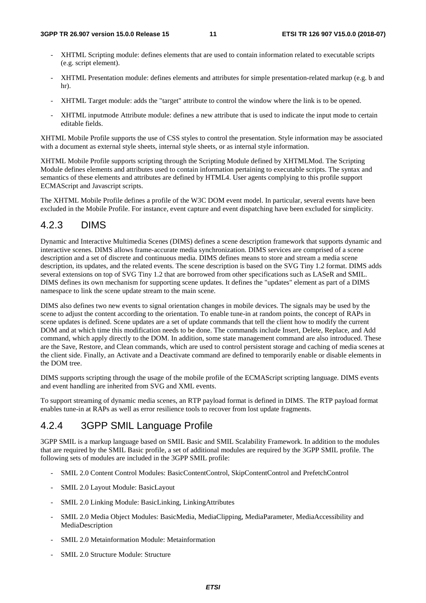- XHTML Scripting module: defines elements that are used to contain information related to executable scripts (e.g. script element).
- XHTML Presentation module: defines elements and attributes for simple presentation-related markup (e.g. b and hr).
- XHTML Target module: adds the "target" attribute to control the window where the link is to be opened.
- XHTML inputmode Attribute module: defines a new attribute that is used to indicate the input mode to certain editable fields.

XHTML Mobile Profile supports the use of CSS styles to control the presentation. Style information may be associated with a document as external style sheets, internal style sheets, or as internal style information.

XHTML Mobile Profile supports scripting through the Scripting Module defined by XHTMLMod. The Scripting Module defines elements and attributes used to contain information pertaining to executable scripts. The syntax and semantics of these elements and attributes are defined by HTML4. User agents complying to this profile support ECMAScript and Javascript scripts.

The XHTML Mobile Profile defines a profile of the W3C DOM event model. In particular, several events have been excluded in the Mobile Profile. For instance, event capture and event dispatching have been excluded for simplicity.

#### 4.2.3 DIMS

Dynamic and Interactive Multimedia Scenes (DIMS) defines a scene description framework that supports dynamic and interactive scenes. DIMS allows frame-accurate media synchronization. DIMS services are comprised of a scene description and a set of discrete and continuous media. DIMS defines means to store and stream a media scene description, its updates, and the related events. The scene description is based on the SVG Tiny 1.2 format. DIMS adds several extensions on top of SVG Tiny 1.2 that are borrowed from other specifications such as LASeR and SMIL. DIMS defines its own mechanism for supporting scene updates. It defines the "updates" element as part of a DIMS namespace to link the scene update stream to the main scene.

DIMS also defines two new events to signal orientation changes in mobile devices. The signals may be used by the scene to adjust the content according to the orientation. To enable tune-in at random points, the concept of RAPs in scene updates is defined. Scene updates are a set of update commands that tell the client how to modify the current DOM and at which time this modification needs to be done. The commands include Insert, Delete, Replace, and Add command, which apply directly to the DOM. In addition, some state management command are also introduced. These are the Save, Restore, and Clean commands, which are used to control persistent storage and caching of media scenes at the client side. Finally, an Activate and a Deactivate command are defined to temporarily enable or disable elements in the DOM tree.

DIMS supports scripting through the usage of the mobile profile of the ECMAScript scripting language. DIMS events and event handling are inherited from SVG and XML events.

To support streaming of dynamic media scenes, an RTP payload format is defined in DIMS. The RTP payload format enables tune-in at RAPs as well as error resilience tools to recover from lost update fragments.

#### 4.2.4 3GPP SMIL Language Profile

3GPP SMIL is a markup language based on SMIL Basic and SMIL Scalability Framework. In addition to the modules that are required by the SMIL Basic profile, a set of additional modules are required by the 3GPP SMIL profile. The following sets of modules are included in the 3GPP SMIL profile:

- SMIL 2.0 Content Control Modules: BasicContentControl, SkipContentControl and PrefetchControl
- SMIL 2.0 Layout Module: BasicLayout
- SMIL 2.0 Linking Module: BasicLinking, LinkingAttributes
- SMIL 2.0 Media Object Modules: BasicMedia, MediaClipping, MediaParameter, MediaAccessibility and MediaDescription
- SMIL 2.0 Metainformation Module: Metainformation
- SMIL 2.0 Structure Module: Structure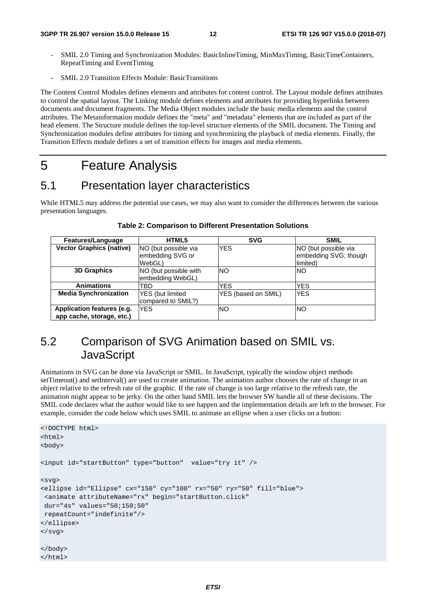- SMIL 2.0 Timing and Synchronization Modules: BasicInlineTiming, MinMaxTiming, BasicTimeContainers, RepeatTiming and EventTiming
- SMIL 2.0 Transition Effects Module: BasicTransitions

The Content Control Modules defines elements and attributes for content control. The Layout module defines attributes to control the spatial layout. The Linking module defines elements and attributes for providing hyperlinks between documents and document fragments. The Media Object modules include the basic media elements and the control attributes. The Metainformation module defines the "meta" and "metadata" elements that are included as part of the head element. The Structure module defines the top-level structure elements of the SMIL document. The Timing and Synchronization modules define attributes for timing and synchronizing the playback of media elements. Finally, the Transition Effects module defines a set of transition effects for images and media elements.

# 5 Feature Analysis

### 5.1 Presentation layer characteristics

While HTML5 may address the potential use cases, we may also want to consider the differences between the various presentation languages.

| Features/Language                                       | <b>HTML5</b>                                       | <b>SVG</b>          | <b>SMIL</b>                                               |
|---------------------------------------------------------|----------------------------------------------------|---------------------|-----------------------------------------------------------|
| <b>Vector Graphics (native)</b>                         | NO (but possible via<br>embedding SVG or<br>WebGL) | <b>YES</b>          | NO (but possible via<br>embedding SVG; though<br>limited) |
| <b>3D Graphics</b>                                      | NO (but possible with<br>embedding WebGL)          | <b>NO</b>           | <b>INO</b>                                                |
| <b>Animations</b>                                       | TBD                                                | <b>YES</b>          | YES                                                       |
| <b>Media Synchronization</b>                            | <b>YES</b> (but limited<br>compared to SMIL?)      | YES (based on SMIL) | <b>YES</b>                                                |
| Application features (e.g.<br>app cache, storage, etc.) | YFS                                                | <b>NO</b>           | <b>INO</b>                                                |

#### **Table 2: Comparison to Different Presentation Solutions**

# 5.2 Comparison of SVG Animation based on SMIL vs. **JavaScript**

Animations in SVG can be done via JavaScript or SMIL. In JavaScript, typically the window object methods setTimeout() and setInterval() are used to create animation. The animation author chooses the rate of change in an object relative to the refresh rate of the graphic. If the rate of change is too large relative to the refresh rate, the animation might appear to be jerky. On the other hand SMIL lets the browser SW handle all of these decisions. The SMIL code declares what the author would like to see happen and the implementation details are left to the browser. For example, consider the code below which uses SMIL to animate an ellipse when a user clicks on a button:

```
<!DOCTYPE html> 
m]\sim<body> 
<input id="startButton" type="button" value="try it" /> 
<svg> 
<ellipse id="Ellipse" cx="150" cy="100" rx="50" ry="50" fill="blue"> 
 <animate attributeName="rx" begin="startButton.click" 
 dur="4s" values="50;150;50" 
 repeatCount="indefinite"/> 
</ellipse> 
</svg> 
</body> 
</html>
```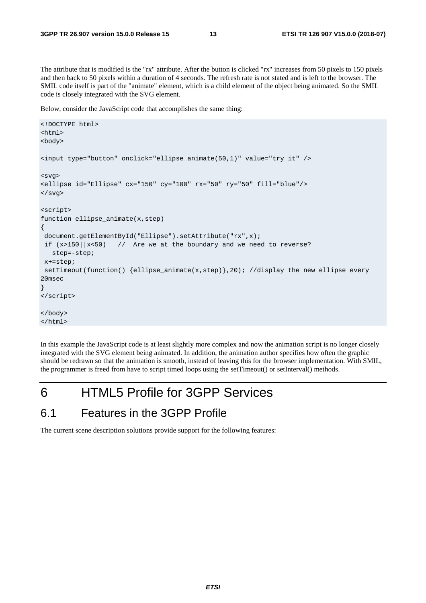The attribute that is modified is the "rx" attribute. After the button is clicked "rx" increases from 50 pixels to 150 pixels and then back to 50 pixels within a duration of 4 seconds. The refresh rate is not stated and is left to the browser. The SMIL code itself is part of the "animate" element, which is a child element of the object being animated. So the SMIL code is closely integrated with the SVG element.

Below, consider the JavaScript code that accomplishes the same thing:

```
<!DOCTYPE html> 
<html> 
<body> 
<input type="button" onclick="ellipse_animate(50,1)" value="try it" /> 
<svg> 
<ellipse id="Ellipse" cx="150" cy="100" rx="50" ry="50" fill="blue"/> 
</svg> 
<script> 
function ellipse_animate(x,step) 
{ 
 document.getElementById("Ellipse").setAttribute("rx",x);
 if (x>150 \mid x<50) // Are we at the boundary and we need to reverse?
    step=-step; 
  x+=step; 
 setTimeout(function() {ellsp}, {ell(x, step)}, 20); //display the new ellipse every
20msec 
} 
</script> 
</body> 
</html>
```
In this example the JavaScript code is at least slightly more complex and now the animation script is no longer closely integrated with the SVG element being animated. In addition, the animation author specifies how often the graphic should be redrawn so that the animation is smooth, instead of leaving this for the browser implementation. With SMIL, the programmer is freed from have to script timed loops using the setTimeout() or setInterval() methods.

# 6 HTML5 Profile for 3GPP Services

### 6.1 Features in the 3GPP Profile

The current scene description solutions provide support for the following features: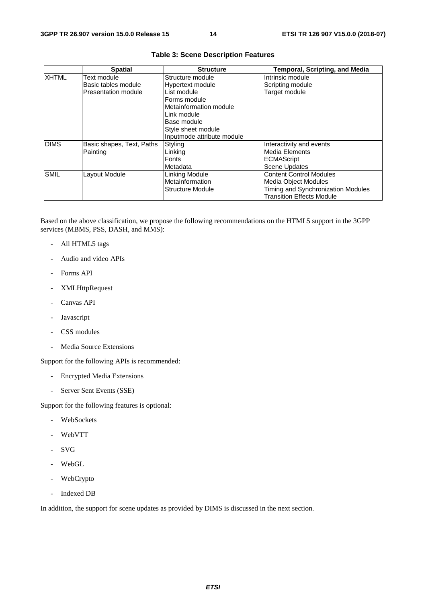|              | <b>Spatial</b>             | <b>Structure</b>           | <b>Temporal, Scripting, and Media</b> |
|--------------|----------------------------|----------------------------|---------------------------------------|
| <b>XHTML</b> | Text module                | Structure module           | Intrinsic module                      |
|              | Basic tables module        | Hypertext module           | Scripting module                      |
|              | <b>Presentation module</b> | List module                | Target module                         |
|              |                            | IForms module              |                                       |
|              |                            | lMetainformation module    |                                       |
|              |                            | Link module                |                                       |
|              |                            | lBase module               |                                       |
|              |                            | Style sheet module         |                                       |
|              |                            | Inputmode attribute module |                                       |
| <b>DIMS</b>  | Basic shapes, Text, Paths  | Styling                    | Interactivity and events              |
|              | Painting                   | Linking                    | Media Elements                        |
|              |                            | Fonts                      | ECMAScript                            |
|              |                            | Metadata                   | Scene Updates                         |
| <b>SMIL</b>  | Layout Module              | Linking Module             | <b>Content Control Modules</b>        |
|              |                            | <b>Metainformation</b>     | Media Object Modules                  |
|              |                            | Structure Module           | Timing and Synchronization Modules    |
|              |                            |                            | <b>Transition Effects Module</b>      |

#### **Table 3: Scene Description Features**

Based on the above classification, we propose the following recommendations on the HTML5 support in the 3GPP services (MBMS, PSS, DASH, and MMS):

- All HTML5 tags
- Audio and video APIs
- Forms API
- XMLHttpRequest
- Canvas API
- Javascript
- CSS modules
- Media Source Extensions

Support for the following APIs is recommended:

- Encrypted Media Extensions
- Server Sent Events (SSE)

Support for the following features is optional:

- WebSockets
- WebVTT
- SVG
- WebGL
- WebCrypto
- Indexed DB

In addition, the support for scene updates as provided by DIMS is discussed in the next section.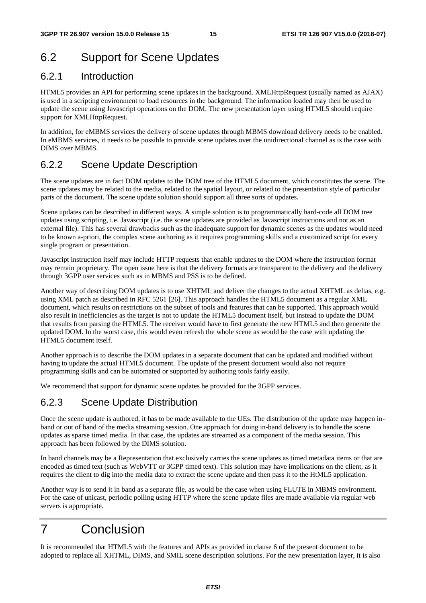# 6.2 Support for Scene Updates

### 6.2.1 Introduction

HTML5 provides an API for performing scene updates in the background. XMLHttpRequest (usually named as AJAX) is used in a scripting environment to load resources in the background. The information loaded may then be used to update the scene using Javascript operations on the DOM. The new presentation layer using HTML5 should require support for XMLHttpRequest.

In addition, for eMBMS services the delivery of scene updates through MBMS download delivery needs to be enabled. In eMBMS services, it needs to be possible to provide scene updates over the unidirectional channel as is the case with DIMS over MBMS.

### 6.2.2 Scene Update Description

The scene updates are in fact DOM updates to the DOM tree of the HTML5 document, which constitutes the scene. The scene updates may be related to the media, related to the spatial layout, or related to the presentation style of particular parts of the document. The scene update solution should support all three sorts of updates.

Scene updates can be described in different ways. A simple solution is to programmatically hard-code all DOM tree updates using scripting, i.e. Javascript (i.e. the scene updates are provided as Javascript instructions and not as an external file). This has several drawbacks such as the inadequate support for dynamic scenes as the updates would need to be known a-priori, the complex scene authoring as it requires programming skills and a customized script for every single program or presentation.

Javascript instruction itself may include HTTP requests that enable updates to the DOM where the instruction format may remain proprietary. The open issue here is that the delivery formats are transparent to the delivery and the delivery through 3GPP user services such as in MBMS and PSS is to be defined.

Another way of describing DOM updates is to use XHTML and deliver the changes to the actual XHTML as deltas, e.g. using XML patch as described in RFC 5261 [26]. This approach handles the HTML5 document as a regular XML document, which results on restrictions on the subset of tools and features that can be supported. This approach would also result in inefficiencies as the target is not to update the HTML5 document itself, but instead to update the DOM that results from parsing the HTML5. The receiver would have to first generate the new HTML5 and then generate the updated DOM. In the worst case, this would even refresh the whole scene as would be the case with updating the HTML5 document itself.

Another approach is to describe the DOM updates in a separate document that can be updated and modified without having to update the actual HTML5 document. The update of the present document would also not require programming skills and can be automated or supported by authoring tools fairly easily.

We recommend that support for dynamic scene updates be provided for the 3GPP services.

### 6.2.3 Scene Update Distribution

Once the scene update is authored, it has to be made available to the UEs. The distribution of the update may happen inband or out of band of the media streaming session. One approach for doing in-band delivery is to handle the scene updates as sparse timed media. In that case, the updates are streamed as a component of the media session. This approach has been followed by the DIMS solution.

In band channels may be a Representation that exclusively carries the scene updates as timed metadata items or that are encoded as timed text (such as WebVTT or 3GPP timed text). This solution may have implications on the client, as it requires the client to dig into the media data to extract the scene update and then pass it to the HtML5 application.

Another way is to send it in band as a separate file, as would be the case when using FLUTE in MBMS environment. For the case of unicast, periodic polling using HTTP where the scene update files are made available via regular web servers is appropriate.

# 7 Conclusion

It is recommended that HTML5 with the features and APIs as provided in clause 6 of the present document to be adopted to replace all XHTML, DIMS, and SMIL scene description solutions. For the new presentation layer, it is also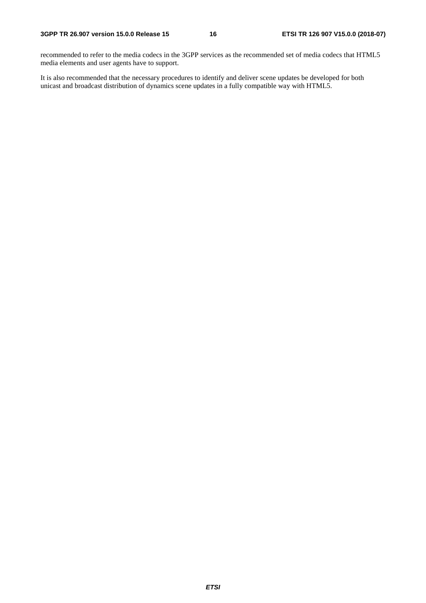recommended to refer to the media codecs in the 3GPP services as the recommended set of media codecs that HTML5 media elements and user agents have to support.

It is also recommended that the necessary procedures to identify and deliver scene updates be developed for both unicast and broadcast distribution of dynamics scene updates in a fully compatible way with HTML5.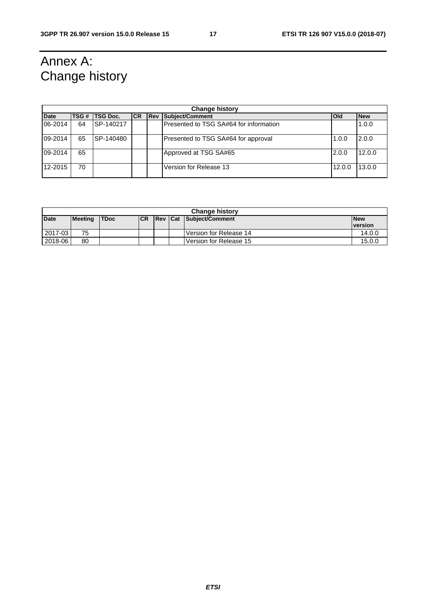# Annex A: Change history

|             | <b>Change history</b> |           |           |             |                                        |        |            |  |  |
|-------------|-----------------------|-----------|-----------|-------------|----------------------------------------|--------|------------|--|--|
| <b>Date</b> | TSG#                  | TSG Doc.  | <b>CR</b> | <b>IRev</b> | Subject/Comment                        | Old    | <b>New</b> |  |  |
| 06-2014     | 64                    | SP-140217 |           |             | Presented to TSG SA#64 for information |        | 1.0.0      |  |  |
| 09-2014     | 65                    | SP-140480 |           |             | Presented to TSG SA#64 for approval    | 1.0.0  | 2.0.0      |  |  |
| 09-2014     | 65                    |           |           |             | Approved at TSG SA#65                  | 2.0.0  | 12.0.0     |  |  |
| 12-2015     | 70                    |           |           |             | Version for Release 13                 | 12.0.0 | 13.0.0     |  |  |

|             | <b>Change history</b> |             |           |  |  |                                |                       |  |  |
|-------------|-----------------------|-------------|-----------|--|--|--------------------------------|-----------------------|--|--|
| <b>Date</b> | Meeting               | <b>TDoc</b> | <b>CR</b> |  |  | <b>Rev Cat Subject/Comment</b> | <b>New</b><br>version |  |  |
|             |                       |             |           |  |  |                                |                       |  |  |
| 2017-03     | 75                    |             |           |  |  | Version for Release 14         | 14.0.0                |  |  |
| 2018-06     | 80                    |             |           |  |  | Version for Release 15         | 15.0.0                |  |  |